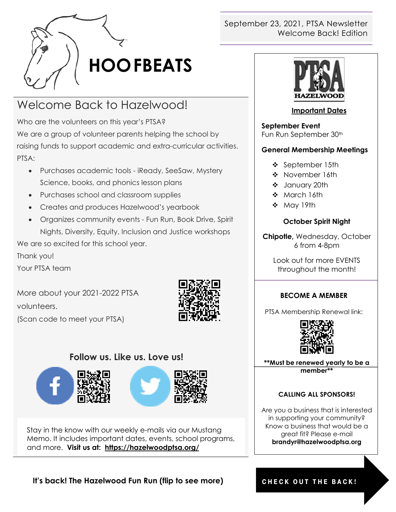

# Welcome Back to Hazelwood!

Who are the volunteers on this year's PTSA? We are a group of volunteer parents helping the school by raising funds to support academic and extra-curricular activities. PTSA:

- Purchases academic tools iReady, SeeSaw, Mystery Science, books, and phonics lesson plans
- Purchases school and classroom supplies
- Creates and produces Hazelwood's yearbook
- Organizes community events Fun Run, Book Drive, Spirit Nights, Diversity, Equity, Inclusion and Justice workshops

We are so excited for this school year.

Thank you!

Your PTSA team

More about your 2021-2022 PTSA volunteers. (Scan code to meet your PTSA)



## **Follow us. Like us. Love us!**





Stay in the know with our weekly e-mails via our Mustang Memo. It includes important dates, events, school programs, and more. **Visit us at: <https://hazelwoodptsa.org/>**

### September 23, 2021, PTSA Newsletter Welcome Back! Edition



#### **Important Dates**

**September Event** Fun Run September 30<sup>th</sup>

### **General Membership Meetings**

- September 15th
- \* November 16th
- January 20th
- March 16th
- May 19th

#### **October Spirit Night**

**Chipotle,** Wednesday, October 6 from 4-8pm

Look out for more EVENTS throughout the month!

#### **BECOME A MEMBER**

PTSA Membership Renewal link:



**\*\*Must be renewed yearly to be a member\*\***

#### **CALLING ALL SPONSORS!**

Are you a business that is interested in supporting your community? Know a business that would be a great fit? Please e-mail **brandyr@hazelwoodptsa.org**